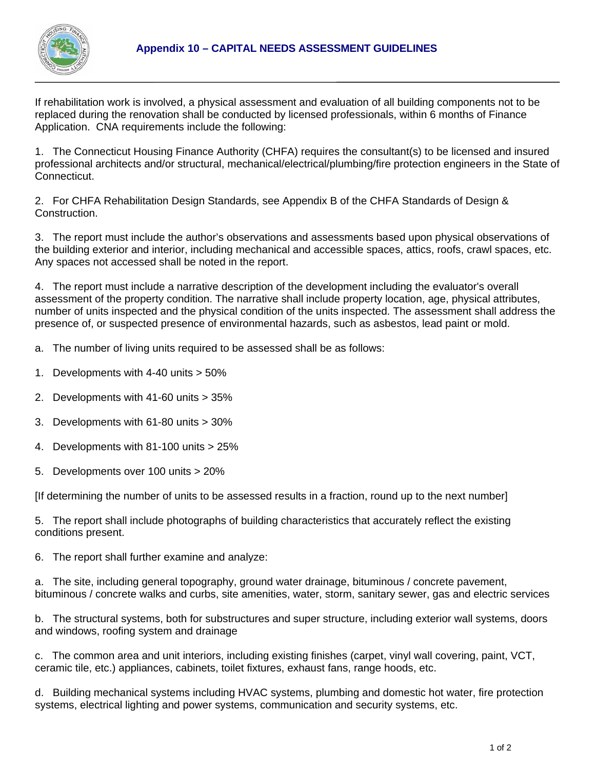

If rehabilitation work is involved, a physical assessment and evaluation of all building components not to be replaced during the renovation shall be conducted by licensed professionals, within 6 months of Finance Application. CNA requirements include the following:

1. The Connecticut Housing Finance Authority (CHFA) requires the consultant(s) to be licensed and insured professional architects and/or structural, mechanical/electrical/plumbing/fire protection engineers in the State of Connecticut.

2. For CHFA Rehabilitation Design Standards, see Appendix B of the CHFA Standards of Design & Construction.

3. The report must include the author's observations and assessments based upon physical observations of the building exterior and interior, including mechanical and accessible spaces, attics, roofs, crawl spaces, etc. Any spaces not accessed shall be noted in the report.

4. The report must include a narrative description of the development including the evaluator's overall assessment of the property condition. The narrative shall include property location, age, physical attributes, number of units inspected and the physical condition of the units inspected. The assessment shall address the presence of, or suspected presence of environmental hazards, such as asbestos, lead paint or mold.

a. The number of living units required to be assessed shall be as follows:

- 1. Developments with 4-40 units > 50%
- 2. Developments with 41-60 units > 35%
- 3. Developments with 61-80 units > 30%
- 4. Developments with 81-100 units > 25%
- 5. Developments over 100 units > 20%

[If determining the number of units to be assessed results in a fraction, round up to the next number]

5. The report shall include photographs of building characteristics that accurately reflect the existing conditions present.

6. The report shall further examine and analyze:

a. The site, including general topography, ground water drainage, bituminous / concrete pavement, bituminous / concrete walks and curbs, site amenities, water, storm, sanitary sewer, gas and electric services

b. The structural systems, both for substructures and super structure, including exterior wall systems, doors and windows, roofing system and drainage

c. The common area and unit interiors, including existing finishes (carpet, vinyl wall covering, paint, VCT, ceramic tile, etc.) appliances, cabinets, toilet fixtures, exhaust fans, range hoods, etc.

d. Building mechanical systems including HVAC systems, plumbing and domestic hot water, fire protection systems, electrical lighting and power systems, communication and security systems, etc.